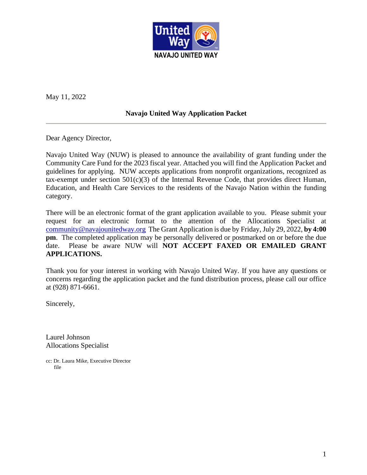

May 11, 2022

# **Navajo United Way Application Packet**

Dear Agency Director,

Navajo United Way (NUW) is pleased to announce the availability of grant funding under the Community Care Fund for the 2023 fiscal year. Attached you will find the Application Packet and guidelines for applying. NUW accepts applications from nonprofit organizations, recognized as tax-exempt under section 501(c)(3) of the Internal Revenue Code, that provides direct Human, Education, and Health Care Services to the residents of the Navajo Nation within the funding category.

There will be an electronic format of the grant application available to you. Please submit your request for an electronic format to the attention of the Allocations Specialist at [community@navajounitedway.org](mailto:community@navajounitedway.org) The Grant Application is due by Friday, July 29, 2022, **by 4:00 pm**. The completed application may be personally delivered or postmarked on or before the due date. Please be aware NUW will **NOT ACCEPT FAXED OR EMAILED GRANT APPLICATIONS.**

Thank you for your interest in working with Navajo United Way. If you have any questions or concerns regarding the application packet and the fund distribution process, please call our office at (928) 871-6661.

Sincerely,

Laurel Johnson Allocations Specialist

cc: Dr. Laura Mike, Executive Director file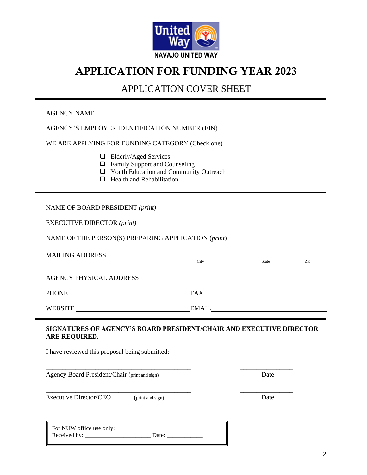

# APPLICATION FOR FUNDING YEAR 2023

# APPLICATION COVER SHEET

| AGENCY NAME                                                                                                                                                    |  |      |     |
|----------------------------------------------------------------------------------------------------------------------------------------------------------------|--|------|-----|
| AGENCY'S EMPLOYER IDENTIFICATION NUMBER (EIN)                                                                                                                  |  |      |     |
| WE ARE APPLYING FOR FUNDING CATEGORY (Check one)                                                                                                               |  |      |     |
| $\Box$ Elderly/Aged Services<br><b>Example 3</b> Family Support and Counseling<br>□ Youth Education and Community Outreach<br>$\Box$ Health and Rehabilitation |  |      |     |
| NAME OF BOARD PRESIDENT (print)                                                                                                                                |  |      |     |
|                                                                                                                                                                |  |      |     |
| NAME OF THE PERSON(S) PREPARING APPLICATION (print)                                                                                                            |  |      |     |
| MAILING ADDRESS City State State                                                                                                                               |  |      | Zip |
|                                                                                                                                                                |  |      |     |
| PHONE FAX FAX                                                                                                                                                  |  |      |     |
| WEBSITE EMAIL EMAIL                                                                                                                                            |  |      |     |
| SIGNATURES OF AGENCY'S BOARD PRESIDENT/CHAIR AND EXECUTIVE DIRECTOR<br>ARE REQUIRED.<br>I have reviewed this proposal being submitted:                         |  |      |     |
| Agency Board President/Chair (print and sign)                                                                                                                  |  | Date |     |
| <b>Executive Director/CEO</b><br>(print and sign)                                                                                                              |  | Date |     |
| For NUW office use only:<br>Date: $\frac{1}{\sqrt{1-\frac{1}{2}} \cdot \frac{1}{2}}$                                                                           |  |      |     |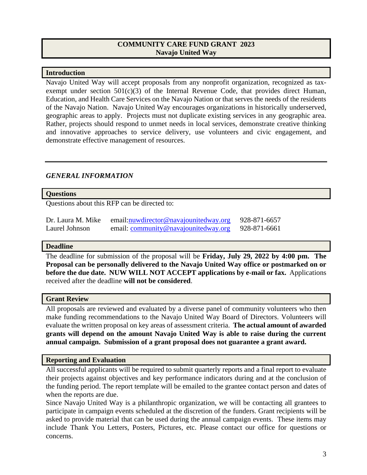### **COMMUNITY CARE FUND GRANT 2023 Navajo United Way**

#### **Introduction**

Navajo United Way will accept proposals from any nonprofit organization, recognized as taxexempt under section  $501(c)(3)$  of the Internal Revenue Code, that provides direct Human, Education, and Health Care Services on the Navajo Nation or that serves the needs of the residents of the Navajo Nation. Navajo United Way encourages organizations in historically underserved, geographic areas to apply. Projects must not duplicate existing services in any geographic area. Rather, projects should respond to unmet needs in local services, demonstrate creative thinking and innovative approaches to service delivery, use volunteers and civic engagement, and demonstrate effective management of resources.

# *GENERAL INFORMATION*

#### **Questions**

Questions about this RFP can be directed to:

| Dr. Laura M. Mike | email: nuw director @ navajounited way.org | 928-871-6657 |
|-------------------|--------------------------------------------|--------------|
| Laurel Johnson    | email: community@navajounitedway.org       | 928-871-6661 |

#### **Deadline**

The deadline for submission of the proposal will be **Friday, July 29, 2022 by 4:00 pm. The Proposal can be personally delivered to the Navajo United Way office or postmarked on or before the due date. NUW WILL NOT ACCEPT applications by e-mail or fax.** Applications received after the deadline **will not be considered**.

#### **Grant Review**

All proposals are reviewed and evaluated by a diverse panel of community volunteers who then make funding recommendations to the Navajo United Way Board of Directors. Volunteers will evaluate the written proposal on key areas of assessment criteria. **The actual amount of awarded grants will depend on the amount Navajo United Way is able to raise during the current annual campaign. Submission of a grant proposal does not guarantee a grant award.**

#### **Reporting and Evaluation**

All successful applicants will be required to submit quarterly reports and a final report to evaluate their projects against objectives and key performance indicators during and at the conclusion of the funding period. The report template will be emailed to the grantee contact person and dates of when the reports are due.

Since Navajo United Way is a philanthropic organization, we will be contacting all grantees to participate in campaign events scheduled at the discretion of the funders. Grant recipients will be asked to provide material that can be used during the annual campaign events. These items may include Thank You Letters, Posters, Pictures, etc. Please contact our office for questions or concerns.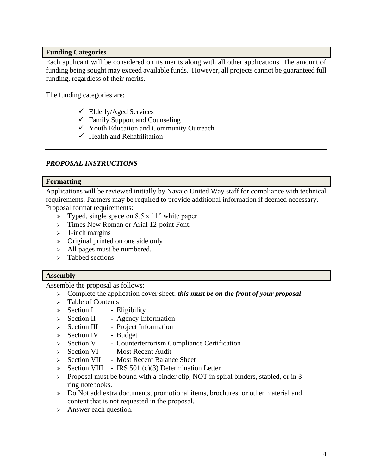#### **Funding Categories**

Each applicant will be considered on its merits along with all other applications. The amount of funding being sought may exceed available funds. However, all projects cannot be guaranteed full funding, regardless of their merits.

The funding categories are:

- $\checkmark$  Elderly/Aged Services
- $\checkmark$  Family Support and Counseling
- ✓ Youth Education and Community Outreach
- $\checkmark$  Health and Rehabilitation

# *PROPOSAL INSTRUCTIONS*

#### **Formatting**

Applications will be reviewed initially by Navajo United Way staff for compliance with technical requirements. Partners may be required to provide additional information if deemed necessary. Proposal format requirements:

- $\geq$  Typed, single space on 8.5 x 11" white paper
- ➢ Times New Roman or Arial 12-point Font.
- $\geq 1$ -inch margins
- ➢ Original printed on one side only
- ➢ All pages must be numbered.
- ➢ Tabbed sections

#### **Assembly**

Assemble the proposal as follows:

- ➢ Complete the application cover sheet: *this must be on the front of your proposal*
- ➢ Table of Contents
- $\geq$  Section I Eligibility
- ➢ Section II Agency Information
- ➢ Section III Project Information
- $\geq$  Section IV Budget
- ➢ Section V Counterterrorism Compliance Certification
- ➢ Section VI Most Recent Audit
- ➢ Section VII Most Recent Balance Sheet
- ➢ Section VIII IRS 501 (c)(3) Determination Letter
- ➢ Proposal must be bound with a binder clip, NOT in spiral binders, stapled, or in 3 ring notebooks.
- ➢ Do Not add extra documents, promotional items, brochures, or other material and content that is not requested in the proposal.
- ➢ Answer each question.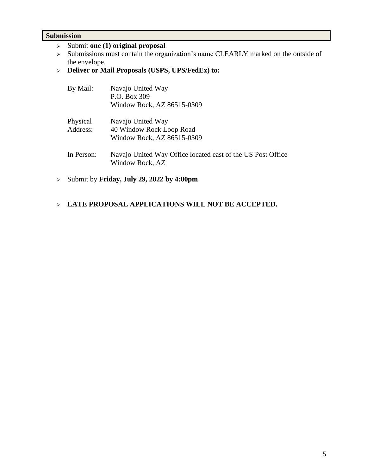#### **Submission**

- ➢ Submit **one (1) original proposal**
- ➢ Submissions must contain the organization's name CLEARLY marked on the outside of the envelope.
- ➢ **Deliver or Mail Proposals (USPS, UPS/FedEx) to:**

| By Mail:             | Navajo United Way<br>P.O. Box 309<br>Window Rock, AZ 86515-0309                |
|----------------------|--------------------------------------------------------------------------------|
| Physical<br>Address: | Navajo United Way<br>40 Window Rock Loop Road<br>Window Rock, AZ 86515-0309    |
| In Person:           | Navajo United Way Office located east of the US Post Office<br>Window Rock, AZ |

- ➢ Submit by **Friday, July 29, 2022 by 4:00pm**
- ➢ **LATE PROPOSAL APPLICATIONS WILL NOT BE ACCEPTED.**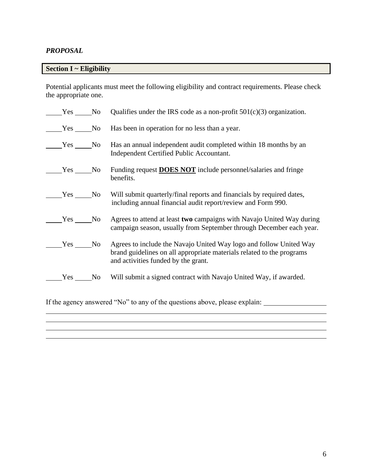# *PROPOSAL*

# **Section I ~ Eligibility**

Potential applicants must meet the following eligibility and contract requirements. Please check the appropriate one.

| Yes No   | Qualifies under the IRS code as a non-profit $501(c)(3)$ organization.                                                                                                             |
|----------|------------------------------------------------------------------------------------------------------------------------------------------------------------------------------------|
| Yes No   | Has been in operation for no less than a year.                                                                                                                                     |
|          | Yes No Has an annual independent audit completed within 18 months by an<br>Independent Certified Public Accountant.                                                                |
| $Yes$ No | Funding request <b>DOES NOT</b> include personnel/salaries and fringe<br>benefits.                                                                                                 |
|          | Yes No Will submit quarterly/final reports and financials by required dates,<br>including annual financial audit report/review and Form 990.                                       |
| Yes No   | Agrees to attend at least two campaigns with Navajo United Way during<br>campaign season, usually from September through December each year.                                       |
| Yes No   | Agrees to include the Navajo United Way logo and follow United Way<br>brand guidelines on all appropriate materials related to the programs<br>and activities funded by the grant. |
| Yes No   | Will submit a signed contract with Navajo United Way, if awarded.                                                                                                                  |

If the agency answered "No" to any of the questions above, please explain:

i<br>L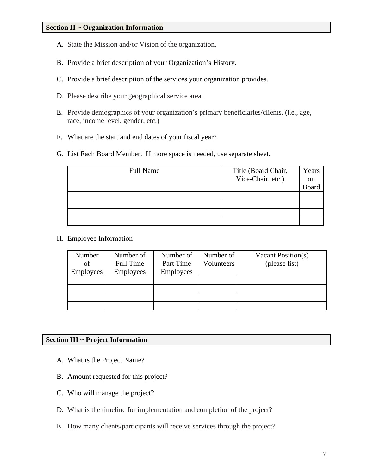- A. State the Mission and/or Vision of the organization.
- B. Provide a brief description of your Organization's History.
- C. Provide a brief description of the services your organization provides.
- D. Please describe your geographical service area.
- E. Provide demographics of your organization's primary beneficiaries/clients. (i.e., age, race, income level, gender, etc.)
- F. What are the start and end dates of your fiscal year?
- G. List Each Board Member. If more space is needed, use separate sheet.

| <b>Full Name</b> | Title (Board Chair, | Years |
|------------------|---------------------|-------|
|                  | Vice-Chair, etc.)   | on    |
|                  |                     | Board |
|                  |                     |       |
|                  |                     |       |
|                  |                     |       |
|                  |                     |       |

H. Employee Information

| Number           | Number of        | Number of        | Number of  | Vacant Position(s) |
|------------------|------------------|------------------|------------|--------------------|
| of               | Full Time        | Part Time        | Volunteers | (please list)      |
| <b>Employees</b> | <b>Employees</b> | <b>Employees</b> |            |                    |
|                  |                  |                  |            |                    |
|                  |                  |                  |            |                    |
|                  |                  |                  |            |                    |
|                  |                  |                  |            |                    |

#### **Section III ~ Project Information**

- A. What is the Project Name?
- B. Amount requested for this project?
- C. Who will manage the project?
- D. What is the timeline for implementation and completion of the project?
- E. How many clients/participants will receive services through the project?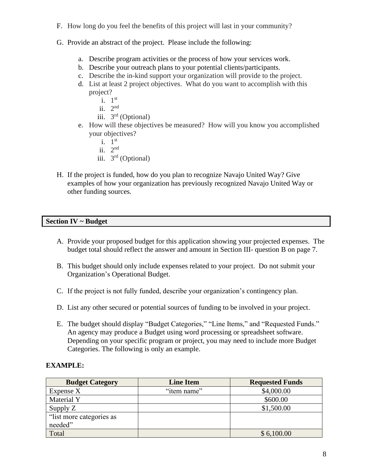- F. How long do you feel the benefits of this project will last in your community?
- G. Provide an abstract of the project. Please include the following:
	- a. Describe program activities or the process of how your services work.
	- b. Describe your outreach plans to your potential clients/participants.
	- c. Describe the in-kind support your organization will provide to the project.
	- d. List at least 2 project objectives. What do you want to accomplish with this project?
		- i.  $1^{\text{st}}$
		- ii.  $2<sup>nd</sup>$
		- iii.  $3<sup>rd</sup>$  (Optional)
	- e. How will these objectives be measured? How will you know you accomplished your objectives?
		- i.  $1^{\text{st}}$
		- ii.  $2<sup>nd</sup>$
		- iii.  $3<sup>rd</sup>$  (Optional)
- H. If the project is funded, how do you plan to recognize Navajo United Way? Give examples of how your organization has previously recognized Navajo United Way or other funding sources.

#### **Section IV ~ Budget**

- A. Provide your proposed budget for this application showing your projected expenses. The budget total should reflect the answer and amount in Section III- question B on page 7.
- B. This budget should only include expenses related to your project. Do not submit your Organization's Operational Budget.
- C. If the project is not fully funded, describe your organization's contingency plan.
- D. List any other secured or potential sources of funding to be involved in your project.
- E. The budget should display "Budget Categories," "Line Items," and "Requested Funds." An agency may produce a Budget using word processing or spreadsheet software. Depending on your specific program or project, you may need to include more Budget Categories. The following is only an example.

# **EXAMPLE:**

| <b>Budget Category</b>   | <b>Line Item</b> | <b>Requested Funds</b> |
|--------------------------|------------------|------------------------|
| Expense X                | "item name"      | \$4,000.00             |
| Material Y               |                  | \$600.00               |
| Supply Z                 |                  | \$1,500.00             |
| "list more categories as |                  |                        |
| needed"                  |                  |                        |
| Total                    |                  | \$6,100.00             |